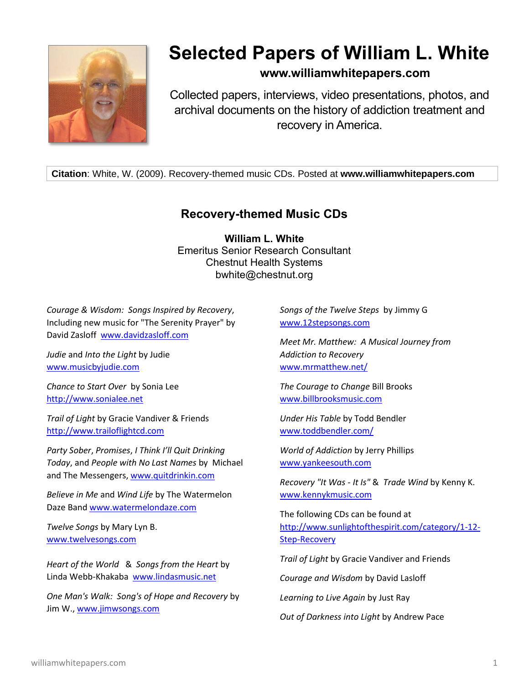

## **Selected Papers of William L. White**

## **www.williamwhitepapers.com**

Collected papers, interviews, video presentations, photos, and archival documents on the history of addiction treatment and recovery in America.

**Citation**: White, W. (2009). Recovery-themed music CDs. Posted at **www.williamwhitepapers.com**

## **Recovery-themed Music CDs**

**William L. White** Emeritus Senior Research Consultant Chestnut Health Systems bwhite@chestnut.org

*Courage & Wisdom: Songs Inspired by Recovery*, Including new music for "The Serenity Prayer" by David Zasloff [www.davidzasloff.com](http://www.davidzasloff.com/)

*Judie* and *Into the Light* by Judie [www.musicbyjudie.com](http://www.musicbyjudie.com/)

*Chance to Start Over* by Sonia Lee [http://www.sonialee.net](http://www.sonialee.net/)

*Trail of Light* by Gracie Vandiver & Friends [http://www.trailoflightcd.com](http://www.trailoflightcd.com/)

*Party Sober*, *Promises*, *I Think I'll Quit Drinking Today*, and *People with No Last Names* by Michael and The Messengers, [www.quitdrinkin.com](http://www.quitdrinkin.com/)

*Believe in Me* and *Wind Life* by The Watermelon Daze Band [www.watermelondaze.com](http://www.watermelondaze.com/)

*Twelve Songs* by Mary Lyn B. [www.twelvesongs.com](http://www.twelvesongs.com/)

*Heart of the World* & *Songs from the Heart* by Linda Webb-Khakaba [www.lindasmusic.net](http://www.lindasmusic.net/)

*One Man's Walk: Song's of Hope and Recovery* by Jim W., [www.jimwsongs.com](http://www.jimwsongs.com/)

*Songs of the Twelve Steps* by Jimmy G [www.12stepsongs.com](http://www.12stepsongs.com/)

*Meet Mr. Matthew: A Musical Journey from Addiction to Recovery* [www.mrmatthew.net/](http://www.mrmatthew.net/)

*The Courage to Change* Bill Brooks [www.billbrooksmusic.com](http://www.billbrooksmusic.com/)

*Under His Table* by Todd Bendler [www.toddbendler.com/](http://www.toddbendler.com/)

*World of Addiction* by Jerry Phillips [www.yankeesouth.com](http://www.yankeesouth.com/)

*Recovery "It Was - It Is"* & *Trade Wind* by Kenny K. [www.kennykmusic.com](http://www.kennykmusic.com/)

The following CDs can be found at [http://www.sunlightofthespirit.com/category/1-12-](http://www.sunlightofthespirit.com/category/1-12-Step-Recovery) [Step-Recovery](http://www.sunlightofthespirit.com/category/1-12-Step-Recovery)

*Trail of Light* by Gracie Vandiver and Friends

*Courage and Wisdom* by David Lasloff

*Learning to Live Again* by Just Ray

*Out of Darkness into Light* by Andrew Pace